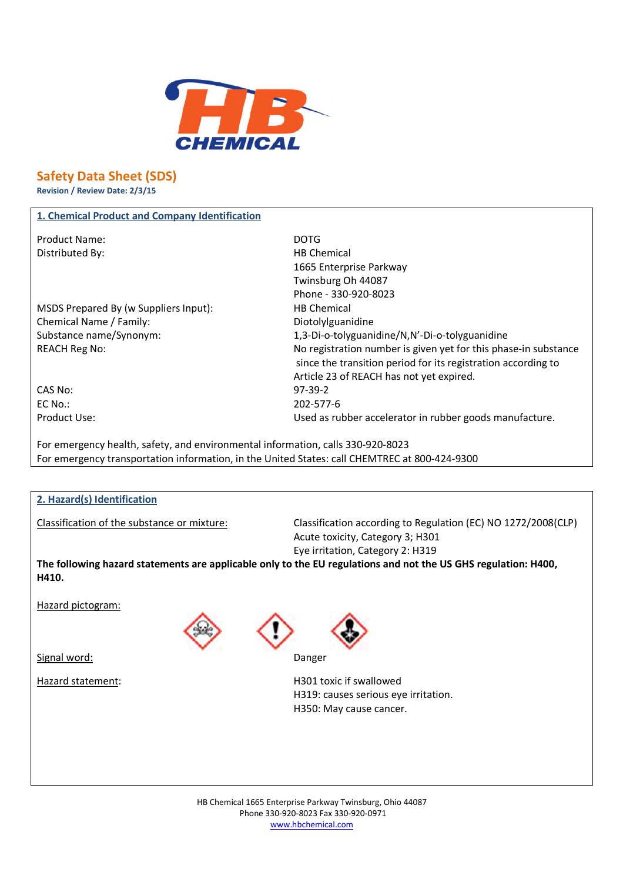

# **Safety Data Sheet (SDS)**

**Revision / Review Date: 2/3/15**

## **1. Chemical Product and Company Identification**

Product Name: DOTG Distributed By: Notice and Solid Business HB Chemical

MSDS Prepared By (w Suppliers Input): HB Chemical Chemical Name / Family: Diotolylguanidine

1665 Enterprise Parkway Twinsburg Oh 44087 Phone - 330-920-8023 Substance name/Synonym: 1,3-Di-o-tolyguanidine/N,N'-Di-o-tolyguanidine REACH Reg No: No registration number is given yet for this phase-in substance since the transition period for its registration according to Article 23 of REACH has not yet expired. Product Use: Used as rubber accelerator in rubber goods manufacture.

CAS No: 97-39-2 EC No.: 202-577-6

For emergency health, safety, and environmental information, calls 330-920-8023 For emergency transportation information, in the United States: call CHEMTREC at 800-424-9300

## **2. Hazard(s) Identification**

Classification of the substance or mixture: Classification according to Regulation (EC) NO 1272/2008(CLP) Acute toxicity, Category 3; H301 Eye irritation, Category 2: H319

**The following hazard statements are applicable only to the EU regulations and not the US GHS regulation: H400, H410.**

Hazard pictogram:

Signal word: Danger





Hazard statement: H301 toxic if swallowed H319: causes serious eye irritation. H350: May cause cancer.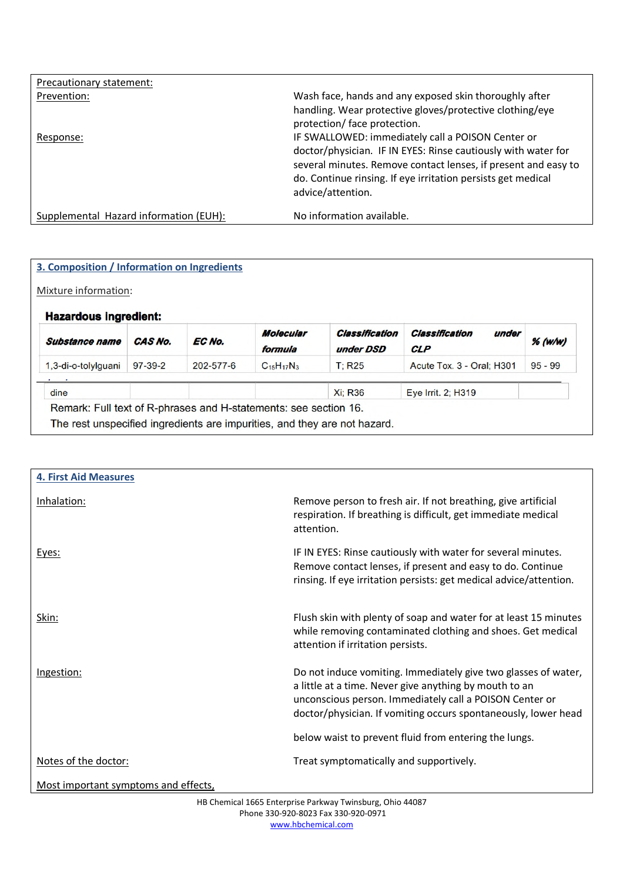| Precautionary statement:               |                                                                                                                                                                                                                      |
|----------------------------------------|----------------------------------------------------------------------------------------------------------------------------------------------------------------------------------------------------------------------|
| Prevention:                            | Wash face, hands and any exposed skin thoroughly after                                                                                                                                                               |
|                                        | handling. Wear protective gloves/protective clothing/eye<br>protection/ face protection.                                                                                                                             |
| Response:                              | IF SWALLOWED: immediately call a POISON Center or                                                                                                                                                                    |
|                                        | doctor/physician. IF IN EYES: Rinse cautiously with water for<br>several minutes. Remove contact lenses, if present and easy to<br>do. Continue rinsing. If eye irritation persists get medical<br>advice/attention. |
| Supplemental Hazard information (EUH): | No information available.                                                                                                                                                                                            |

| Mixture information:                                  |           |                 |                             |                             |                                       |           |
|-------------------------------------------------------|-----------|-----------------|-----------------------------|-----------------------------|---------------------------------------|-----------|
| <b>Hazardous ingredient:</b><br><b>Substance name</b> | CAS No.   | EC No.          | <b>Molecular</b><br>formula | Classification<br>under DSD | Classification<br>under<br><b>CLP</b> | $%$ (w/w) |
| 1.3-di-o-tolylguani                                   | $97-39-2$ | $202 - 577 - 6$ | $C_{15}H_{17}N_3$           | T: R25                      | Acute Tox. 3 - Oral: H301             | $95 - 99$ |
| dine                                                  |           |                 |                             | <b>Xi: R36</b>              | Eye Irrit. 2; H319                    |           |

| <b>4. First Aid Measures</b>         |                                                                                                                                                                                                                                                       |
|--------------------------------------|-------------------------------------------------------------------------------------------------------------------------------------------------------------------------------------------------------------------------------------------------------|
| Inhalation:                          | Remove person to fresh air. If not breathing, give artificial<br>respiration. If breathing is difficult, get immediate medical<br>attention.                                                                                                          |
| Eyes:                                | IF IN EYES: Rinse cautiously with water for several minutes.<br>Remove contact lenses, if present and easy to do. Continue<br>rinsing. If eye irritation persists: get medical advice/attention.                                                      |
| Skin:                                | Flush skin with plenty of soap and water for at least 15 minutes<br>while removing contaminated clothing and shoes. Get medical<br>attention if irritation persists.                                                                                  |
| Ingestion:                           | Do not induce vomiting. Immediately give two glasses of water,<br>a little at a time. Never give anything by mouth to an<br>unconscious person. Immediately call a POISON Center or<br>doctor/physician. If vomiting occurs spontaneously, lower head |
|                                      | below waist to prevent fluid from entering the lungs.                                                                                                                                                                                                 |
| Notes of the doctor:                 | Treat symptomatically and supportively.                                                                                                                                                                                                               |
| Most important symptoms and effects, |                                                                                                                                                                                                                                                       |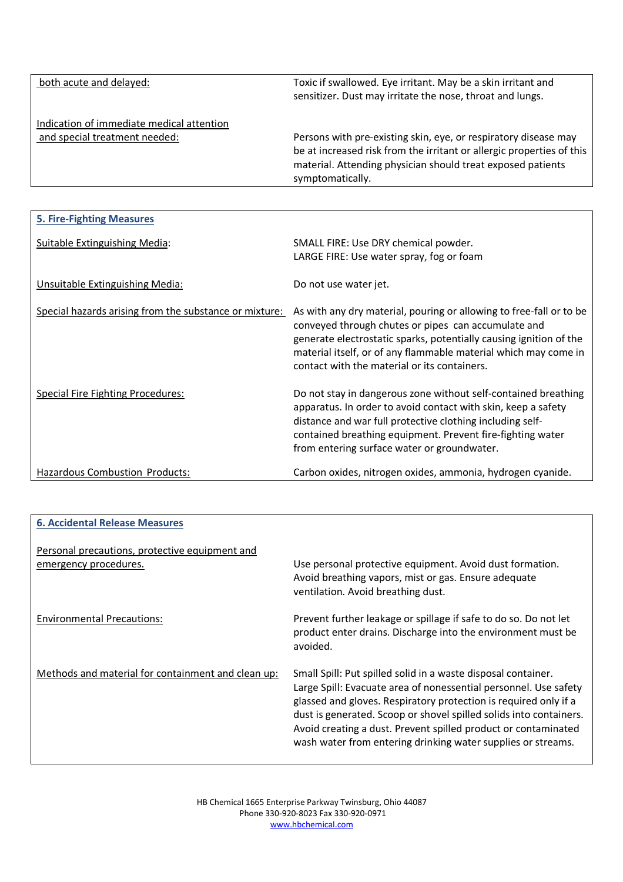| both acute and delayed:                                                    | Toxic if swallowed. Eye irritant. May be a skin irritant and<br>sensitizer. Dust may irritate the nose, throat and lungs.                                                                                                   |
|----------------------------------------------------------------------------|-----------------------------------------------------------------------------------------------------------------------------------------------------------------------------------------------------------------------------|
| Indication of immediate medical attention<br>and special treatment needed: | Persons with pre-existing skin, eye, or respiratory disease may<br>be at increased risk from the irritant or allergic properties of this<br>material. Attending physician should treat exposed patients<br>symptomatically. |

| <b>5. Fire-Fighting Measures</b>                       |                                                                                                                                                                                                                                                                                                                     |
|--------------------------------------------------------|---------------------------------------------------------------------------------------------------------------------------------------------------------------------------------------------------------------------------------------------------------------------------------------------------------------------|
| Suitable Extinguishing Media:                          | SMALL FIRE: Use DRY chemical powder.<br>LARGE FIRE: Use water spray, fog or foam                                                                                                                                                                                                                                    |
| Unsuitable Extinguishing Media:                        | Do not use water jet.                                                                                                                                                                                                                                                                                               |
| Special hazards arising from the substance or mixture: | As with any dry material, pouring or allowing to free-fall or to be<br>conveyed through chutes or pipes can accumulate and<br>generate electrostatic sparks, potentially causing ignition of the<br>material itself, or of any flammable material which may come in<br>contact with the material or its containers. |
| <b>Special Fire Fighting Procedures:</b>               | Do not stay in dangerous zone without self-contained breathing<br>apparatus. In order to avoid contact with skin, keep a safety<br>distance and war full protective clothing including self-<br>contained breathing equipment. Prevent fire-fighting water<br>from entering surface water or groundwater.           |
| Hazardous Combustion Products:                         | Carbon oxides, nitrogen oxides, ammonia, hydrogen cyanide.                                                                                                                                                                                                                                                          |

| <b>6. Accidental Release Measures</b>                                   |                                                                                                                                                                                                                                                                                                                                                                                                               |
|-------------------------------------------------------------------------|---------------------------------------------------------------------------------------------------------------------------------------------------------------------------------------------------------------------------------------------------------------------------------------------------------------------------------------------------------------------------------------------------------------|
| Personal precautions, protective equipment and<br>emergency procedures. | Use personal protective equipment. Avoid dust formation.<br>Avoid breathing vapors, mist or gas. Ensure adequate<br>ventilation. Avoid breathing dust.                                                                                                                                                                                                                                                        |
| <b>Environmental Precautions:</b>                                       | Prevent further leakage or spillage if safe to do so. Do not let<br>product enter drains. Discharge into the environment must be<br>avoided.                                                                                                                                                                                                                                                                  |
| Methods and material for containment and clean up:                      | Small Spill: Put spilled solid in a waste disposal container.<br>Large Spill: Evacuate area of nonessential personnel. Use safety<br>glassed and gloves. Respiratory protection is required only if a<br>dust is generated. Scoop or shovel spilled solids into containers.<br>Avoid creating a dust. Prevent spilled product or contaminated<br>wash water from entering drinking water supplies or streams. |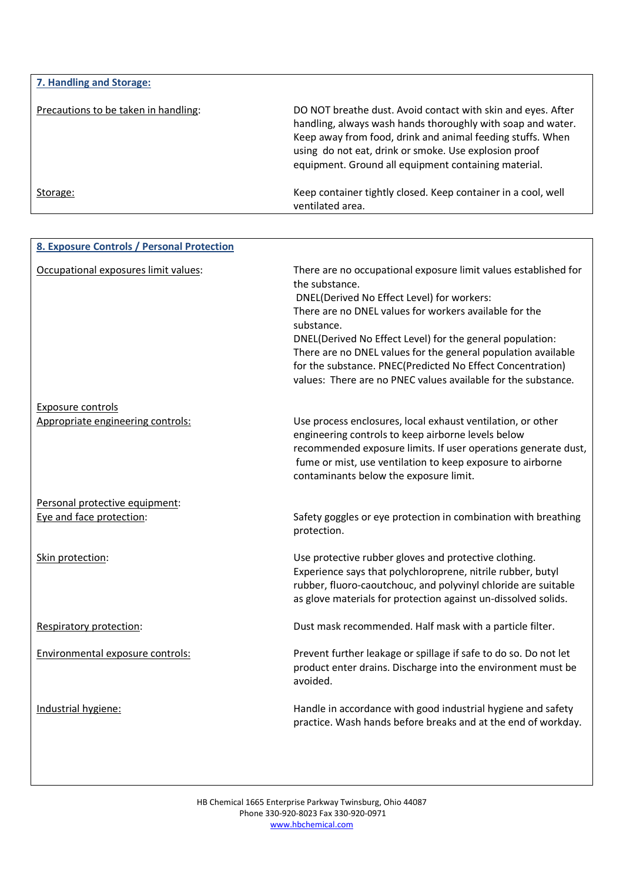| 7. Handling and Storage:             |                                                                                                                                                                                                                                                                                                            |
|--------------------------------------|------------------------------------------------------------------------------------------------------------------------------------------------------------------------------------------------------------------------------------------------------------------------------------------------------------|
| Precautions to be taken in handling: | DO NOT breathe dust. Avoid contact with skin and eyes. After<br>handling, always wash hands thoroughly with soap and water.<br>Keep away from food, drink and animal feeding stuffs. When<br>using do not eat, drink or smoke. Use explosion proof<br>equipment. Ground all equipment containing material. |
| Storage:                             | Keep container tightly closed. Keep container in a cool, well<br>ventilated area.                                                                                                                                                                                                                          |

| 8. Exposure Controls / Personal Protection |                                                                                                                                                                                                                                                                                                                                                                                                                                                                      |
|--------------------------------------------|----------------------------------------------------------------------------------------------------------------------------------------------------------------------------------------------------------------------------------------------------------------------------------------------------------------------------------------------------------------------------------------------------------------------------------------------------------------------|
| Occupational exposures limit values:       | There are no occupational exposure limit values established for<br>the substance.<br>DNEL(Derived No Effect Level) for workers:<br>There are no DNEL values for workers available for the<br>substance.<br>DNEL(Derived No Effect Level) for the general population:<br>There are no DNEL values for the general population available<br>for the substance. PNEC(Predicted No Effect Concentration)<br>values: There are no PNEC values available for the substance. |
| <b>Exposure controls</b>                   |                                                                                                                                                                                                                                                                                                                                                                                                                                                                      |
| Appropriate engineering controls:          | Use process enclosures, local exhaust ventilation, or other<br>engineering controls to keep airborne levels below<br>recommended exposure limits. If user operations generate dust,<br>fume or mist, use ventilation to keep exposure to airborne<br>contaminants below the exposure limit.                                                                                                                                                                          |
| Personal protective equipment:             |                                                                                                                                                                                                                                                                                                                                                                                                                                                                      |
| Eye and face protection:                   | Safety goggles or eye protection in combination with breathing<br>protection.                                                                                                                                                                                                                                                                                                                                                                                        |
| Skin protection:                           | Use protective rubber gloves and protective clothing.<br>Experience says that polychloroprene, nitrile rubber, butyl<br>rubber, fluoro-caoutchouc, and polyvinyl chloride are suitable<br>as glove materials for protection against un-dissolved solids.                                                                                                                                                                                                             |
| Respiratory protection:                    | Dust mask recommended. Half mask with a particle filter.                                                                                                                                                                                                                                                                                                                                                                                                             |
| Environmental exposure controls:           | Prevent further leakage or spillage if safe to do so. Do not let<br>product enter drains. Discharge into the environment must be<br>avoided.                                                                                                                                                                                                                                                                                                                         |
| Industrial hygiene:                        | Handle in accordance with good industrial hygiene and safety<br>practice. Wash hands before breaks and at the end of workday.                                                                                                                                                                                                                                                                                                                                        |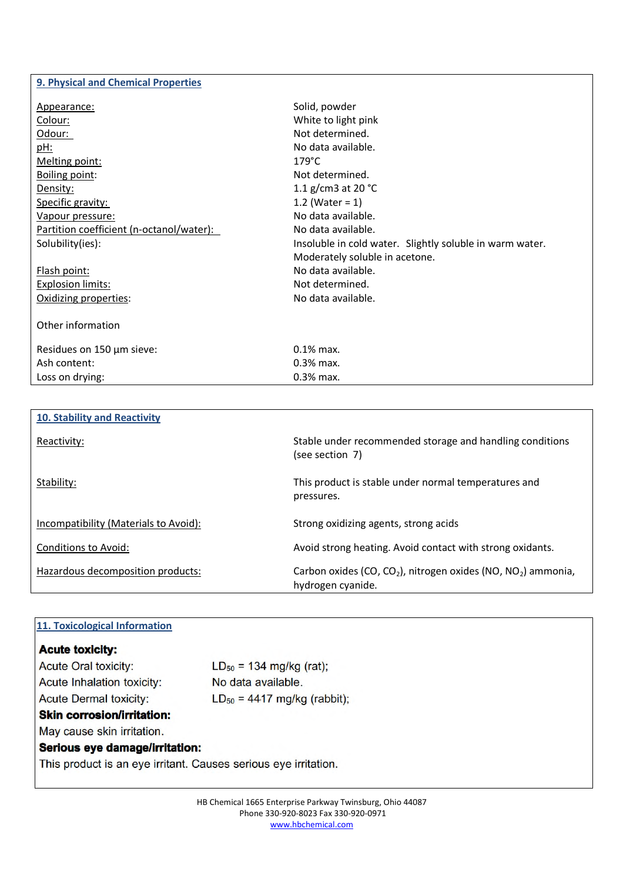### **9. Physical and Chemical Properties**

| Appearance:                              | Solid, powder                                            |
|------------------------------------------|----------------------------------------------------------|
| Colour:                                  | White to light pink                                      |
| Odour:                                   | Not determined.                                          |
| pH:                                      | No data available.                                       |
| Melting point:                           | $179^{\circ}$ C                                          |
| <b>Boiling point:</b>                    | Not determined.                                          |
| Density:                                 | 1.1 g/cm3 at 20 $^{\circ}$ C                             |
| Specific gravity:                        | 1.2 (Water = $1$ )                                       |
| Vapour pressure:                         | No data available.                                       |
| Partition coefficient (n-octanol/water): | No data available.                                       |
| Solubility(ies):                         | Insoluble in cold water. Slightly soluble in warm water. |
|                                          | Moderately soluble in acetone.                           |
| Flash point:                             | No data available.                                       |
| <b>Explosion limits:</b>                 | Not determined.                                          |
| Oxidizing properties:                    | No data available.                                       |
|                                          |                                                          |
| Other information                        |                                                          |
| Residues on 150 µm sieve:                | $0.1\%$ max.                                             |
| Ash content:                             | 0.3% max.                                                |
| Loss on drying:                          | $0.3%$ max.                                              |
|                                          |                                                          |

| <b>10. Stability and Reactivity</b>   |                                                                                                            |
|---------------------------------------|------------------------------------------------------------------------------------------------------------|
| Reactivity:                           | Stable under recommended storage and handling conditions<br>(see section 7)                                |
| Stability:                            | This product is stable under normal temperatures and<br>pressures.                                         |
| Incompatibility (Materials to Avoid): | Strong oxidizing agents, strong acids                                                                      |
| Conditions to Avoid:                  | Avoid strong heating. Avoid contact with strong oxidants.                                                  |
| Hazardous decomposition products:     | Carbon oxides (CO, CO <sub>2</sub> ), nitrogen oxides (NO, NO <sub>2</sub> ) ammonia,<br>hydrogen cyanide. |

| 11. Toxicological Information     |                                                                 |  |  |
|-----------------------------------|-----------------------------------------------------------------|--|--|
|                                   |                                                                 |  |  |
| <b>Acute toxicity:</b>            |                                                                 |  |  |
| <b>Acute Oral toxicity:</b>       | $LD_{50} = 134$ mg/kg (rat);                                    |  |  |
| Acute Inhalation toxicity:        | No data available.                                              |  |  |
| <b>Acute Dermal toxicity:</b>     | $LD_{50} = 4417$ mg/kg (rabbit);                                |  |  |
| <b>Skin corrosion/irritation:</b> |                                                                 |  |  |
| May cause skin irritation.        |                                                                 |  |  |
| Serious eye damage/irritation:    |                                                                 |  |  |
|                                   | This product is an eye irritant. Causes serious eye irritation. |  |  |
|                                   |                                                                 |  |  |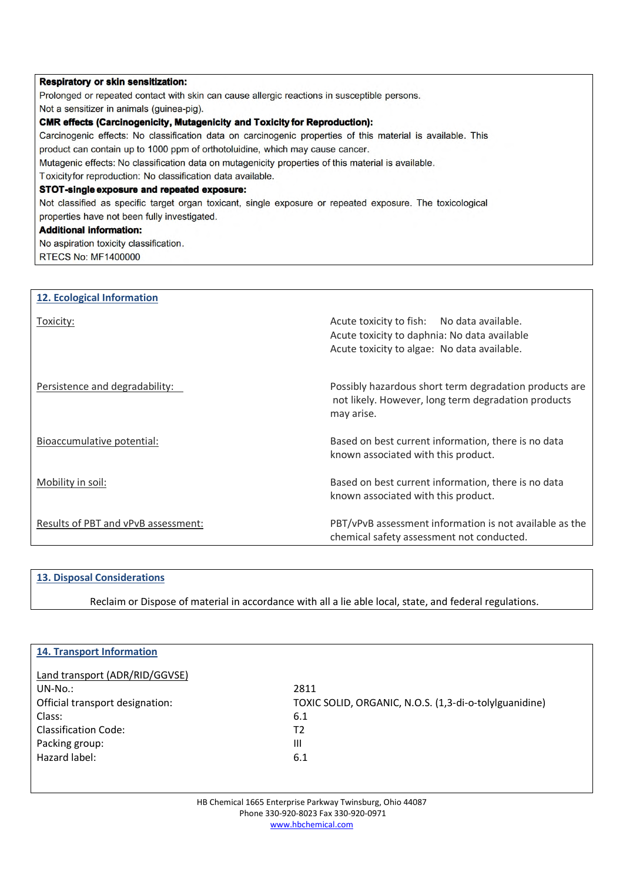| <b>Respiratory or skin sensitization:</b>                                                                   |  |
|-------------------------------------------------------------------------------------------------------------|--|
| Prolonged or repeated contact with skin can cause allergic reactions in susceptible persons.                |  |
| Not a sensitizer in animals (guinea-pig).                                                                   |  |
| <b>CMR effects (Carcinogenicity, Mutagenicity and Toxicity for Reproduction):</b>                           |  |
| Carcinogenic effects: No classification data on carcinogenic properties of this material is available. This |  |
| product can contain up to 1000 ppm of orthotoluidine, which may cause cancer.                               |  |
| Mutagenic effects: No classification data on mutagenicity properties of this material is available.         |  |
| Toxicity for reproduction: No classification data available.                                                |  |
| STOT-single exposure and repeated exposure:                                                                 |  |
| Not classified as specific target organ toxicant, single exposure or repeated exposure. The toxicological   |  |
| properties have not been fully investigated.                                                                |  |
| <b>Additional information:</b>                                                                              |  |
| No aspiration toxicity classification.                                                                      |  |
| <b>RTECS No: MF1400000</b>                                                                                  |  |
|                                                                                                             |  |

| <b>12. Ecological Information</b>   |                                                                                                                                           |
|-------------------------------------|-------------------------------------------------------------------------------------------------------------------------------------------|
| Toxicity:                           | Acute toxicity to fish: No data available.<br>Acute toxicity to daphnia: No data available<br>Acute toxicity to algae: No data available. |
| Persistence and degradability:      | Possibly hazardous short term degradation products are<br>not likely. However, long term degradation products<br>may arise.               |
| Bioaccumulative potential:          | Based on best current information, there is no data<br>known associated with this product.                                                |
| Mobility in soil:                   | Based on best current information, there is no data<br>known associated with this product.                                                |
| Results of PBT and vPvB assessment: | PBT/vPvB assessment information is not available as the<br>chemical safety assessment not conducted.                                      |

## **13. Disposal Considerations**

Reclaim or Dispose of material in accordance with all a lie able local, state, and federal regulations.

| <b>14. Transport Information</b> |                                                        |
|----------------------------------|--------------------------------------------------------|
|                                  |                                                        |
| Land transport (ADR/RID/GGVSE)   |                                                        |
|                                  |                                                        |
| $UN-No.$ :                       | 2811                                                   |
| Official transport designation:  | TOXIC SOLID, ORGANIC, N.O.S. (1,3-di-o-tolylguanidine) |
| Class:                           | 6.1                                                    |
| Classification Code:             | T2                                                     |
| Packing group:                   | $\mathbf{III}$                                         |
| Hazard label:                    | 6.1                                                    |
|                                  |                                                        |
|                                  |                                                        |